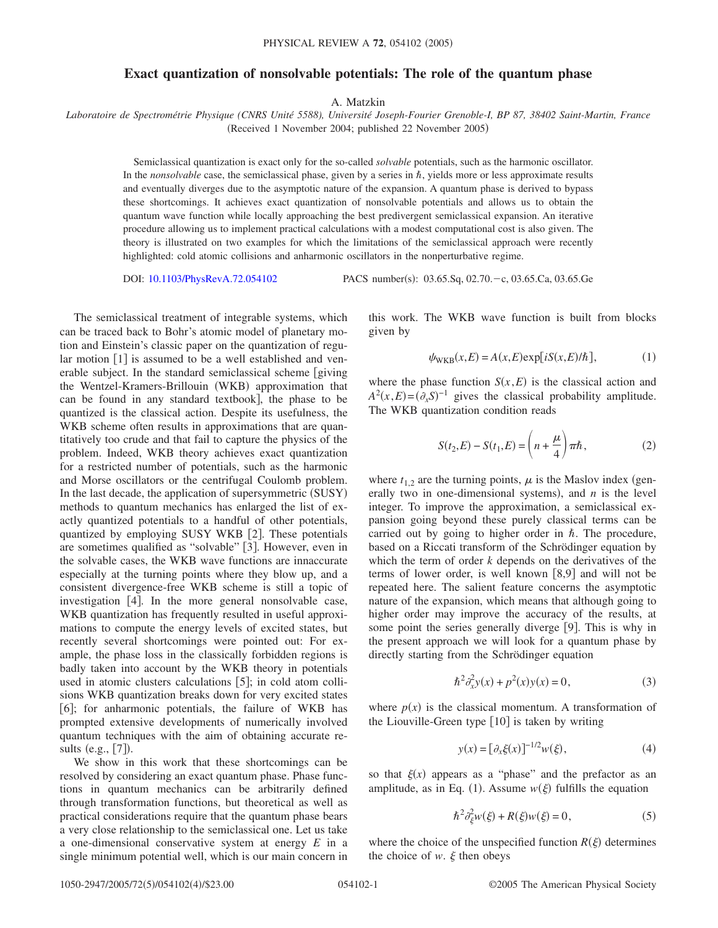## **Exact quantization of nonsolvable potentials: The role of the quantum phase**

A. Matzkin

*Laboratoire de Spectrométrie Physique (CNRS Unité 5588), Université Joseph-Fourier Grenoble-I, BP 87, 38402 Saint-Martin, France* (Received 1 November 2004; published 22 November 2005)

Semiclassical quantization is exact only for the so-called *solvable* potentials, such as the harmonic oscillator. In the *nonsolvable* case, the semiclassical phase, given by a series in  $\hbar$ , yields more or less approximate results and eventually diverges due to the asymptotic nature of the expansion. A quantum phase is derived to bypass these shortcomings. It achieves exact quantization of nonsolvable potentials and allows us to obtain the quantum wave function while locally approaching the best predivergent semiclassical expansion. An iterative procedure allowing us to implement practical calculations with a modest computational cost is also given. The theory is illustrated on two examples for which the limitations of the semiclassical approach were recently highlighted: cold atomic collisions and anharmonic oscillators in the nonperturbative regime.

DOI: [10.1103/PhysRevA.72.054102](http://dx.doi.org/10.1103/PhysRevA.72.054102)

: 03.65.Sq, 02.70.-c, 03.65.Ca, 03.65.Ge

The semiclassical treatment of integrable systems, which can be traced back to Bohr's atomic model of planetary motion and Einstein's classic paper on the quantization of regular motion  $\lceil 1 \rceil$  is assumed to be a well established and venerable subject. In the standard semiclassical scheme [giving] the Wentzel-Kramers-Brillouin (WKB) approximation that can be found in any standard textbook], the phase to be quantized is the classical action. Despite its usefulness, the WKB scheme often results in approximations that are quantitatively too crude and that fail to capture the physics of the problem. Indeed, WKB theory achieves exact quantization for a restricted number of potentials, such as the harmonic and Morse oscillators or the centrifugal Coulomb problem. In the last decade, the application of supersymmetric (SUSY) methods to quantum mechanics has enlarged the list of exactly quantized potentials to a handful of other potentials, quantized by employing SUSY WKB [2]. These potentials are sometimes qualified as "solvable" [3]. However, even in the solvable cases, the WKB wave functions are innaccurate especially at the turning points where they blow up, and a consistent divergence-free WKB scheme is still a topic of investigation  $\begin{bmatrix} 4 \end{bmatrix}$ . In the more general nonsolvable case, WKB quantization has frequently resulted in useful approximations to compute the energy levels of excited states, but recently several shortcomings were pointed out: For example, the phase loss in the classically forbidden regions is badly taken into account by the WKB theory in potentials used in atomic clusters calculations  $[5]$ ; in cold atom collisions WKB quantization breaks down for very excited states [6]; for anharmonic potentials, the failure of WKB has prompted extensive developments of numerically involved quantum techniques with the aim of obtaining accurate results  $(e.g., [7])$ .

We show in this work that these shortcomings can be resolved by considering an exact quantum phase. Phase functions in quantum mechanics can be arbitrarily defined through transformation functions, but theoretical as well as practical considerations require that the quantum phase bears a very close relationship to the semiclassical one. Let us take a one-dimensional conservative system at energy *E* in a single minimum potential well, which is our main concern in

this work. The WKB wave function is built from blocks given by

$$
\psi_{\text{WKB}}(x,E) = A(x,E) \exp[iS(x,E)/\hbar],\tag{1}
$$

where the phase function  $S(x, E)$  is the classical action and  $A^2(x, E) = (\partial_x S)^{-1}$  gives the classical probability amplitude. The WKB quantization condition reads

$$
S(t_2, E) - S(t_1, E) = \left(n + \frac{\mu}{4}\right)\pi\hbar, \qquad (2)
$$

where  $t_1$ , are the turning points,  $\mu$  is the Maslov index (generally two in one-dimensional systems), and  $n$  is the level integer. To improve the approximation, a semiclassical expansion going beyond these purely classical terms can be carried out by going to higher order in  $\hbar$ . The procedure, based on a Riccati transform of the Schrödinger equation by which the term of order *k* depends on the derivatives of the terms of lower order, is well known [8,9] and will not be repeated here. The salient feature concerns the asymptotic nature of the expansion, which means that although going to higher order may improve the accuracy of the results, at some point the series generally diverge  $[9]$ . This is why in the present approach we will look for a quantum phase by directly starting from the Schrödinger equation

$$
\hbar^2 \partial_x^2 y(x) + p^2(x)y(x) = 0,\t(3)
$$

where  $p(x)$  is the classical momentum. A transformation of the Liouville-Green type  $[10]$  is taken by writing

$$
y(x) = [\partial_x \xi(x)]^{-1/2} w(\xi),
$$
 (4)

so that  $\xi(x)$  appears as a "phase" and the prefactor as an amplitude, as in Eq. (1). Assume  $w(\xi)$  fulfills the equation

$$
\hbar^2 \partial_{\xi}^2 w(\xi) + R(\xi) w(\xi) = 0, \tag{5}
$$

where the choice of the unspecified function  $R(\xi)$  determines the choice of  $w$ .  $\xi$  then obeys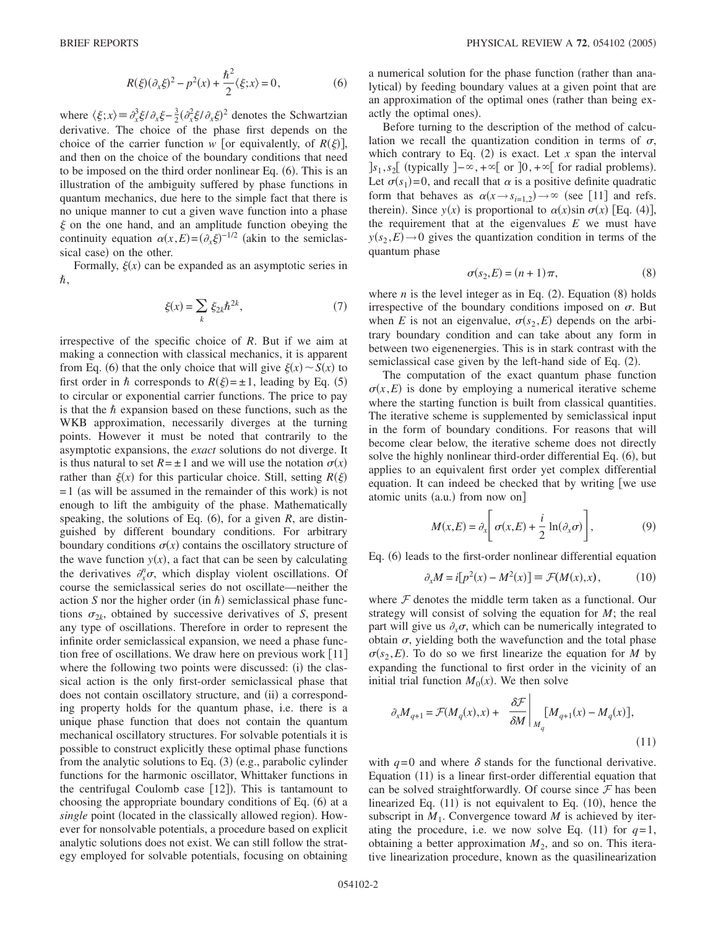$$
R(\xi)(\partial_x \xi)^2 - p^2(x) + \frac{\hbar^2}{2} \langle \xi; x \rangle = 0,
$$
 (6)

where  $\langle \xi; x \rangle = \partial_x^3 \xi / \partial_x \xi - \frac{3}{2} (\partial_x^2 \xi / \partial_x \xi)^2$  denotes the Schwartzian derivative. The choice of the phase first depends on the choice of the carrier function  $w$  [or equivalently, of  $R(\xi)$ ], and then on the choice of the boundary conditions that need to be imposed on the third order nonlinear Eq. (6). This is an illustration of the ambiguity suffered by phase functions in quantum mechanics, due here to the simple fact that there is no unique manner to cut a given wave function into a phase  $\xi$  on the one hand, and an amplitude function obeying the continuity equation  $\alpha(x,E) = (\partial_x \xi)^{-1/2}$  (akin to the semiclassical case) on the other.

Formally,  $\xi(x)$  can be expanded as an asymptotic series in  $\hbar$ ,

$$
\xi(x) = \sum_{k} \xi_{2k} \hbar^{2k},\tag{7}
$$

irrespective of the specific choice of *R*. But if we aim at making a connection with classical mechanics, it is apparent from Eq. (6) that the only choice that will give  $\xi(x) \sim S(x)$  to first order in  $\hbar$  corresponds to  $R(\xi) = \pm 1$ , leading by Eq. (5) to circular or exponential carrier functions. The price to pay is that the  $\hbar$  expansion based on these functions, such as the WKB approximation, necessarily diverges at the turning points. However it must be noted that contrarily to the asymptotic expansions, the *exact* solutions do not diverge. It is thus natural to set  $R = \pm 1$  and we will use the notation  $\sigma(x)$ rather than  $\xi(x)$  for this particular choice. Still, setting  $R(\xi)$  $= 1$  (as will be assumed in the remainder of this work) is not enough to lift the ambiguity of the phase. Mathematically speaking, the solutions of Eq.  $(6)$ , for a given *R*, are distinguished by different boundary conditions. For arbitrary boundary conditions  $\sigma(x)$  contains the oscillatory structure of the wave function  $y(x)$ , a fact that can be seen by calculating the derivatives  $\partial_x^n \sigma$ , which display violent oscillations. Of course the semiclassical series do not oscillate—neither the action *S* nor the higher order (in  $\hbar$ ) semiclassical phase functions  $\sigma_{2k}$ , obtained by successive derivatives of *S*, present any type of oscillations. Therefore in order to represent the infinite order semiclassical expansion, we need a phase function free of oscillations. We draw here on previous work  $\lceil 11 \rceil$ where the following two points were discussed: (i) the classical action is the only first-order semiclassical phase that does not contain oscillatory structure, and (ii) a corresponding property holds for the quantum phase, i.e. there is a unique phase function that does not contain the quantum mechanical oscillatory structures. For solvable potentials it is possible to construct explicitly these optimal phase functions from the analytic solutions to Eq. (3) (e.g., parabolic cylinder functions for the harmonic oscillator, Whittaker functions in the centrifugal Coulomb case [12]). This is tantamount to choosing the appropriate boundary conditions of Eq. (6) at a single point (located in the classically allowed region). However for nonsolvable potentials, a procedure based on explicit analytic solutions does not exist. We can still follow the strategy employed for solvable potentials, focusing on obtaining a numerical solution for the phase function (rather than analytical) by feeding boundary values at a given point that are an approximation of the optimal ones (rather than being exactly the optimal ones).

Before turning to the description of the method of calculation we recall the quantization condition in terms of  $\sigma$ , which contrary to Eq.  $(2)$  is exact. Let *x* span the interval  $\left] s_1, s_2 \right[$  (typically  $\left] -\infty, +\infty \right[$  or  $\left] 0, +\infty \right[$  for radial problems). Let  $\sigma(s_1) = 0$ , and recall that  $\alpha$  is a positive definite quadratic form that behaves as  $\alpha(x \rightarrow s_{i=1,2}) \rightarrow \infty$  (see [11] and refs. therein). Since  $y(x)$  is proportional to  $\alpha(x)$ sin  $\sigma(x)$  [Eq. (4)], the requirement that at the eigenvalues *E* we must have  $y(s_2, E) \rightarrow 0$  gives the quantization condition in terms of the quantum phase

$$
\sigma(s_2, E) = (n+1)\pi,\tag{8}
$$

where  $n$  is the level integer as in Eq.  $(2)$ . Equation  $(8)$  holds irrespective of the boundary conditions imposed on  $\sigma$ . But when *E* is not an eigenvalue,  $\sigma(s_2, E)$  depends on the arbitrary boundary condition and can take about any form in between two eigenenergies. This is in stark contrast with the semiclassical case given by the left-hand side of Eq. (2).

The computation of the exact quantum phase function  $\sigma(x, E)$  is done by employing a numerical iterative scheme where the starting function is built from classical quantities. The iterative scheme is supplemented by semiclassical input in the form of boundary conditions. For reasons that will become clear below, the iterative scheme does not directly solve the highly nonlinear third-order differential Eq. (6), but applies to an equivalent first order yet complex differential equation. It can indeed be checked that by writing [we use atomic units (a.u.) from now on]

$$
M(x,E) = \partial_x \left[ \sigma(x,E) + \frac{i}{2} \ln(\partial_x \sigma) \right],
$$
 (9)

Eq. (6) leads to the first-order nonlinear differential equation

$$
\partial_x M = i[p^2(x) - M^2(x)] \equiv \mathcal{F}(M(x), x), \tag{10}
$$

where  $F$  denotes the middle term taken as a functional. Our strategy will consist of solving the equation for *M*; the real part will give us  $\partial_{x} \sigma$ , which can be numerically integrated to obtain  $\sigma$ , yielding both the wavefunction and the total phase  $\sigma(s_2, E)$ . To do so we first linearize the equation for *M* by expanding the functional to first order in the vicinity of an initial trial function  $M_0(x)$ . We then solve

$$
\partial_x M_{q+1} = \mathcal{F}(M_q(x), x) + \frac{\delta \mathcal{F}}{\delta M} \bigg|_{M_q} [M_{q+1}(x) - M_q(x)],
$$
\n(11)

with  $q=0$  and where  $\delta$  stands for the functional derivative. Equation (11) is a linear first-order differential equation that can be solved straightforwardly. Of course since  $\mathcal F$  has been linearized Eq.  $(11)$  is not equivalent to Eq.  $(10)$ , hence the subscript in  $M_1$ . Convergence toward M is achieved by iterating the procedure, i.e. we now solve Eq.  $(11)$  for  $q=1$ , obtaining a better approximation  $M_2$ , and so on. This iterative linearization procedure, known as the quasilinearization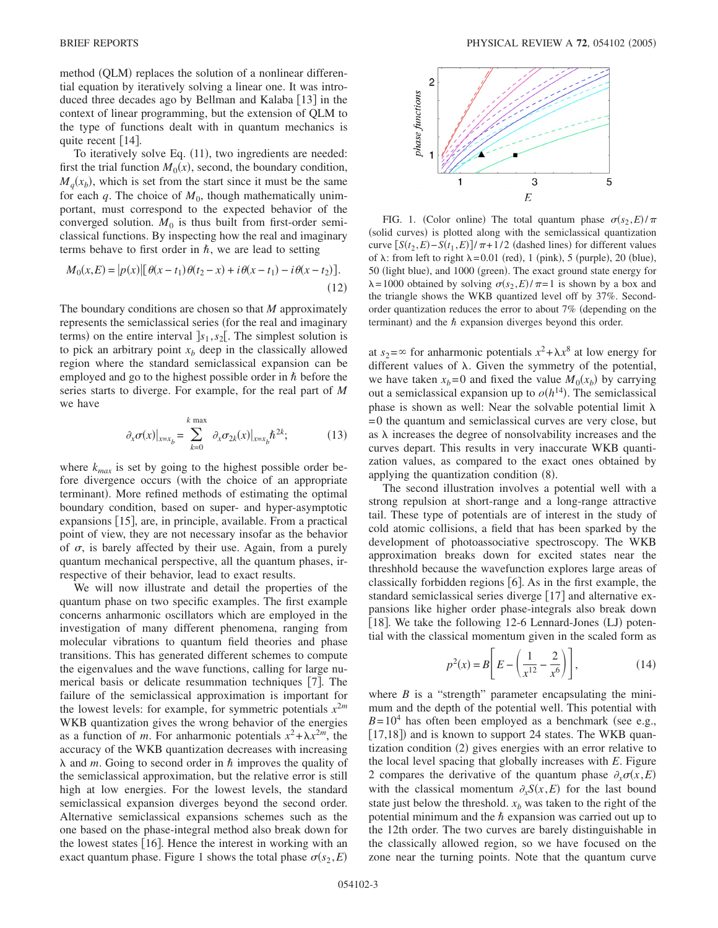method (QLM) replaces the solution of a nonlinear differential equation by iteratively solving a linear one. It was introduced three decades ago by Bellman and Kalaba [13] in the context of linear programming, but the extension of QLM to the type of functions dealt with in quantum mechanics is quite recent  $[14]$ .

To iteratively solve Eq. (11), two ingredients are needed: first the trial function  $M_0(x)$ , second, the boundary condition,  $M_q(x_b)$ , which is set from the start since it must be the same for each  $q$ . The choice of  $M_0$ , though mathematically unimportant, must correspond to the expected behavior of the converged solution.  $M_0$  is thus built from first-order semiclassical functions. By inspecting how the real and imaginary terms behave to first order in  $\hbar$ , we are lead to setting

$$
M_0(x, E) = |p(x)| [\theta(x - t_1) \theta(t_2 - x) + i \theta(x - t_1) - i \theta(x - t_2)].
$$
\n(12)

The boundary conditions are chosen so that *M* approximately represents the semiclassical series (for the real and imaginary terms) on the entire interval  $s_1, s_2$ . The simplest solution is to pick an arbitrary point  $x<sub>b</sub>$  deep in the classically allowed region where the standard semiclassical expansion can be employed and go to the highest possible order in  $\hbar$  before the series starts to diverge. For example, for the real part of *M* we have

$$
\partial_x \sigma(x)|_{x=x_b} = \sum_{k=0}^{k \text{ max}} \partial_x \sigma_{2k}(x)|_{x=x_b} \hbar^{2k};\tag{13}
$$

where  $k_{max}$  is set by going to the highest possible order before divergence occurs (with the choice of an appropriate terminant). More refined methods of estimating the optimal boundary condition, based on super- and hyper-asymptotic expansions  $[15]$ , are, in principle, available. From a practical point of view, they are not necessary insofar as the behavior of  $\sigma$ , is barely affected by their use. Again, from a purely quantum mechanical perspective, all the quantum phases, irrespective of their behavior, lead to exact results.

We will now illustrate and detail the properties of the quantum phase on two specific examples. The first example concerns anharmonic oscillators which are employed in the investigation of many different phenomena, ranging from molecular vibrations to quantum field theories and phase transitions. This has generated different schemes to compute the eigenvalues and the wave functions, calling for large numerical basis or delicate resummation techniques [7]. The failure of the semiclassical approximation is important for the lowest levels: for example, for symmetric potentials  $x^{2m}$ WKB quantization gives the wrong behavior of the energies as a function of *m*. For anharmonic potentials  $x^2 + \lambda x^{2m}$ , the accuracy of the WKB quantization decreases with increasing  $\lambda$  and *m*. Going to second order in  $\hbar$  improves the quality of the semiclassical approximation, but the relative error is still high at low energies. For the lowest levels, the standard semiclassical expansion diverges beyond the second order. Alternative semiclassical expansions schemes such as the one based on the phase-integral method also break down for the lowest states  $[16]$ . Hence the interest in working with an exact quantum phase. Figure 1 shows the total phase  $\sigma(s_2, E)$ 



FIG. 1. (Color online) The total quantum phase  $\sigma(s_2, E)/\pi$ (solid curves) is plotted along with the semiclassical quantization curve  $[S(t_2, E) - S(t_1, E)] / \pi + 1/2$  (dashed lines) for different values of  $\lambda$ : from left to right  $\lambda = 0.01$  (red), 1 (pink), 5 (purple), 20 (blue), 50 (light blue), and 1000 (green). The exact ground state energy for  $\lambda = 1000$  obtained by solving  $\sigma(s_2, E) / \pi = 1$  is shown by a box and the triangle shows the WKB quantized level off by 37%. Secondorder quantization reduces the error to about 7% depending on the terminant) and the  $\hbar$  expansion diverges beyond this order.

at  $s_2 = \infty$  for anharmonic potentials  $x^2 + \lambda x^8$  at low energy for different values of  $\lambda$ . Given the symmetry of the potential, we have taken  $x_b = 0$  and fixed the value  $M_0(x_b)$  by carrying out a semiclassical expansion up to  $o(h^{14})$ . The semiclassical phase is shown as well: Near the solvable potential limit  $\lambda$ =0 the quantum and semiclassical curves are very close, but as  $\lambda$  increases the degree of nonsolvability increases and the curves depart. This results in very inaccurate WKB quantization values, as compared to the exact ones obtained by applying the quantization condition (8).

The second illustration involves a potential well with a strong repulsion at short-range and a long-range attractive tail. These type of potentials are of interest in the study of cold atomic collisions, a field that has been sparked by the development of photoassociative spectroscopy. The WKB approximation breaks down for excited states near the threshhold because the wavefunction explores large areas of classically forbidden regions  $[6]$ . As in the first example, the standard semiclassical series diverge [17] and alternative expansions like higher order phase-integrals also break down [18]. We take the following 12-6 Lennard-Jones (LJ) potential with the classical momentum given in the scaled form as

$$
p^{2}(x) = B\left[E - \left(\frac{1}{x^{12}} - \frac{2}{x^{6}}\right)\right],
$$
 (14)

where  $B$  is a "strength" parameter encapsulating the minimum and the depth of the potential well. This potential with  $B=10^4$  has often been employed as a benchmark (see e.g., [17,18]) and is known to support 24 states. The WKB quantization condition (2) gives energies with an error relative to the local level spacing that globally increases with *E*. Figure 2 compares the derivative of the quantum phase  $\partial_x \sigma(x, E)$ with the classical momentum  $\partial_x S(x, E)$  for the last bound state just below the threshold.  $x<sub>b</sub>$  was taken to the right of the potential minimum and the  $\hbar$  expansion was carried out up to the 12th order. The two curves are barely distinguishable in the classically allowed region, so we have focused on the zone near the turning points. Note that the quantum curve